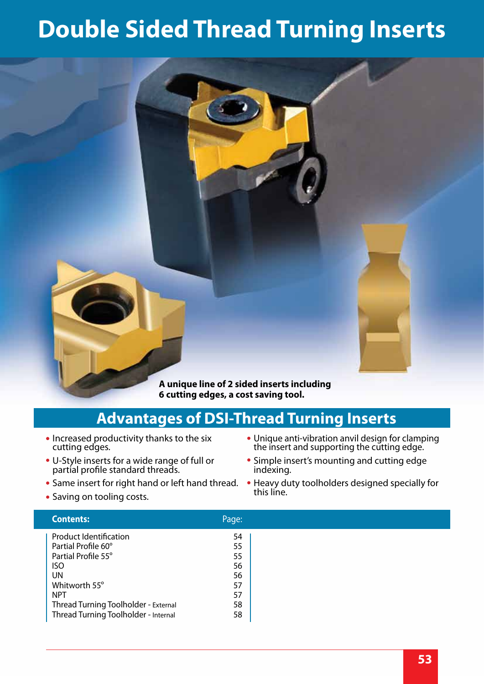# **Double Sided Thread Turning Inserts**



#### **Advantages of DSI-Thread Turning Inserts**

- Increased productivity thanks to the six cutting edges.
- U-Style inserts for a wide range of full or partial profile standard threads.
- **Same insert for right hand or left hand thread.**
- Saving on tooling costs.

#### the insert and supporting the cutting edge. Simple insert's mounting and cutting edge indexing.

Heavy duty toolholders designed specially for this line.

Unique anti-vibration anvil design for clamping

| <b>Contents:</b>                     | Page: |  |
|--------------------------------------|-------|--|
| <b>Product Identification</b>        | 54    |  |
| Partial Profile 60°                  | 55    |  |
| Partial Profile 55°                  | 55    |  |
| <b>ISO</b>                           | 56    |  |
| <b>UN</b>                            | 56    |  |
| Whitworth 55°                        | 57    |  |
| <b>NPT</b>                           | 57    |  |
| Thread Turning Toolholder - External | 58    |  |
| Thread Turning Toolholder - Internal | 58    |  |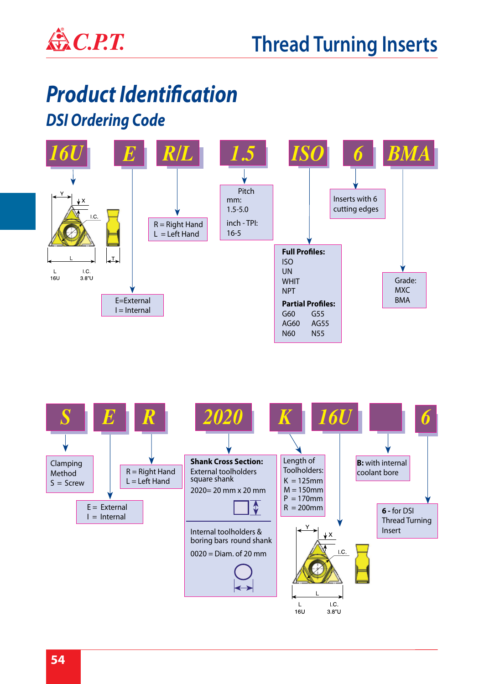

#### *Product Identification DSI Ordering Code*



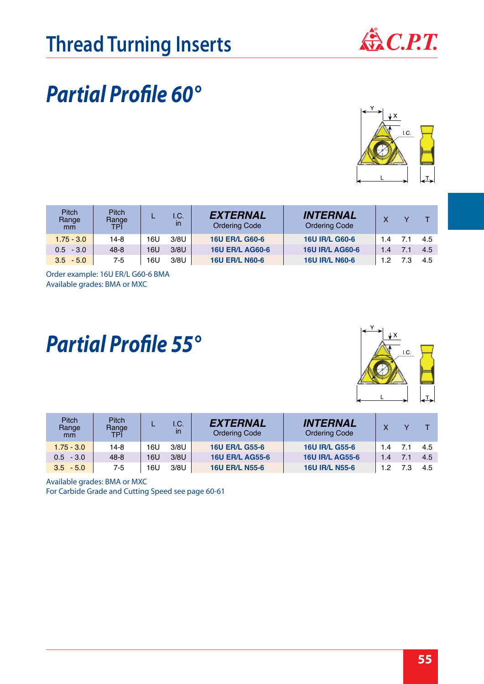

 $\overline{C}$ 

#### *Partial Profile 60°*

| <b>Pitch</b><br>Range<br>mm | <b>Pitch</b><br>Range<br>TPI |     | I.C.<br>in | <b>EXTERNAL</b><br><b>Ordering Code</b> | <b>INTERNAL</b><br><b>Ordering Code</b> |     |     |      |
|-----------------------------|------------------------------|-----|------------|-----------------------------------------|-----------------------------------------|-----|-----|------|
| $1.75 - 3.0$                | 14-8                         | 16U | 3/8U       | <b>16U ER/L G60-6</b>                   | <b>16U IR/L G60-6</b>                   | 1.4 | 71  | -4.5 |
| $0.5 - 3.0$                 | $48 - 8$                     | 16U | 3/8U       | <b>16U ER/L AG60-6</b>                  | <b>16U IR/L AG60-6</b>                  | 1.4 | 7.1 | 4.5  |
| $3.5 - 5.0$                 | 7-5                          | 16U | 3/8U       | <b>16U ER/L N60-6</b>                   | <b>16U IR/L N60-6</b>                   | 12  |     | 4.5  |

Available grades: BMA or MXC Order example: 16U ER/L G60-6 BMA

#### *Partial Profile 55°*



| Pitch<br>Range<br>mm | Pitch<br>Range<br>TPI |     | I.C.<br>$\mathsf{I}$ | <b>EXTERNAL</b><br><b>Ordering Code</b> | <b>INTERNAL</b><br><b>Ordering Code</b> |     |      |
|----------------------|-----------------------|-----|----------------------|-----------------------------------------|-----------------------------------------|-----|------|
| $1.75 - 3.0$         | 14-8                  | 16U | 3/8U                 | <b>16U ER/L G55-6</b>                   | <b>16U IR/L G55-6</b>                   | 1.4 | -4.5 |
| $0.5 - 3.0$          | $48 - 8$              | 16U | 3/8U                 | <b>16U ER/L AG55-6</b>                  | <b>16U IR/L AG55-6</b>                  | 1.4 | -4.5 |
| $3.5 - 5.0$          | 7-5                   | 16U | 3/8U                 | <b>16U ER/L N55-6</b>                   | <b>16U IR/L N55-6</b>                   |     | 4.5  |

Available grades: BMA or MXC

For Carbide Grade and Cutting Speed see page 60-61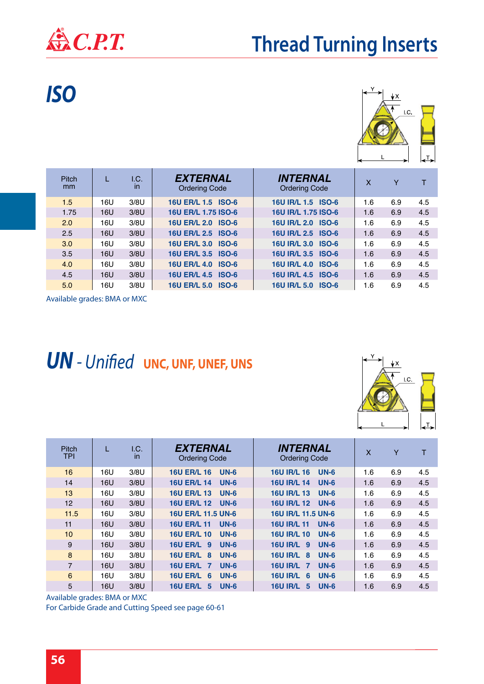

### **Thread Turning Inserts**

*ISO*



| <b>Pitch</b><br><sub>mm</sub> | L   | I.C.<br>$\mathsf{I}$ | <b>EXTERNAL</b><br><b>Ordering Code</b> | <b>INTERNAL</b><br><b>Ordering Code</b> | $\boldsymbol{\mathsf{X}}$ | Y   |     |
|-------------------------------|-----|----------------------|-----------------------------------------|-----------------------------------------|---------------------------|-----|-----|
| 1.5                           | 16U | 3/8U                 | 16U ER/L 1.5 ISO-6                      | 16U IR/L 1.5 ISO-6                      | 1.6                       | 6.9 | 4.5 |
| 1.75                          | 16U | 3/8U                 | 16U ER/L 1.75 ISO-6                     | 16U IR/L 1.75 ISO-6                     | 1.6                       | 6.9 | 4.5 |
| 2.0                           | 16U | 3/8U                 | 16U ER/L 2.0 ISO-6                      | 16U IR/L 2.0 ISO-6                      | 1.6                       | 6.9 | 4.5 |
| 2.5                           | 16U | 3/8U                 | 16U ER/L 2.5 ISO-6                      | 16U IR/L 2.5 ISO-6                      | 1.6                       | 6.9 | 4.5 |
| 3.0                           | 16U | 3/8U                 | 16U ER/L 3.0 ISO-6                      | 16U IR/L 3.0 ISO-6                      | 1.6                       | 6.9 | 4.5 |
| 3.5                           | 16U | 3/8U                 | 16U ER/L 3.5 ISO-6                      | 16U IR/L 3.5 ISO-6                      | 1.6                       | 6.9 | 4.5 |
| 4.0                           | 16U | 3/8U                 | 16U ER/L 4.0 ISO-6                      | 16U IR/L 4.0 ISO-6                      | 1.6                       | 6.9 | 4.5 |
| 4.5                           | 16U | 3/8U                 | 16U ER/L 4.5 ISO-6                      | 16U IR/L 4.5 ISO-6                      | 1.6                       | 6.9 | 4.5 |
| 5.0                           | 16U | 3/8U                 | 16U ER/L 5.0 ISO-6                      | 16U IR/L 5.0 ISO-6                      | 1.6                       | 6.9 | 4.5 |

Available grades: BMA or MXC

#### *UN - Unified* **UNC, UNF, UNEF, UNS**



| <b>Pitch</b><br>TPI | L   | I.C.<br>in | <b>EXTERNAL</b><br><b>Ordering Code</b>     | <b>INTERNAL</b><br><b>Ordering Code</b> | $\mathsf{x}$ | Y   | т   |
|---------------------|-----|------------|---------------------------------------------|-----------------------------------------|--------------|-----|-----|
| 16                  | 16U | 3/8U       | <b>16U ER/L 16</b><br>$UN-6$                | <b>16U IR/L 16</b><br>$UN-6$            | 1.6          | 6.9 | 4.5 |
| 14                  | 16U | 3/8U       | <b>16U ER/L 14</b><br>$UN-6$                | <b>16U IR/L 14</b><br>$UN-6$            | 1.6          | 6.9 | 4.5 |
| 13                  | 16U | 3/8U       | <b>16U ER/L 13</b><br>$UN-6$                | <b>16U IR/L 13</b><br>$UN-6$            | 1.6          | 6.9 | 4.5 |
| 12                  | 16U | 3/8U       | <b>16U ER/L 12</b><br>$UN-6$                | <b>16U IR/L 12</b><br>$UN-6$            | 1.6          | 6.9 | 4.5 |
| 11.5                | 16U | 3/8U       | 16U ER/L 11.5 UN-6                          | 16U IR/L 11.5 UN-6                      | 1.6          | 6.9 | 4.5 |
| 11                  | 16U | 3/8U       | <b>16U ER/L 11</b><br>$UN-6$                | <b>16U IR/L 11</b><br>$UN-6$            | 1.6          | 6.9 | 4.5 |
| 10 <sup>1</sup>     | 16U | 3/8U       | <b>16U ER/L 10</b><br>$UN-6$                | <b>16U IR/L 10</b><br>$UN-6$            | 1.6          | 6.9 | 4.5 |
| 9                   | 16U | 3/8U       | <b>16U ER/L 9</b><br>$UN-6$                 | 16U IR/L 9<br>$UN-6$                    | 1.6          | 6.9 | 4.5 |
| 8                   | 16U | 3/8U       | $UN-6$<br><b>16U ER/L</b><br>8              | <b>16U IR/L 8</b><br>$UN-6$             | 1.6          | 6.9 | 4.5 |
| $\overline{7}$      | 16U | 3/8U       | <b>16U ER/L</b><br>$UN-6$<br>$\overline{7}$ | <b>16U IR/L 7</b><br>$UN-6$             | 1.6          | 6.9 | 4.5 |
| 6                   | 16U | 3/8U       | <b>16U ER/L</b><br>$UN-6$<br>6              | 16U IR/L 6<br>$UN-6$                    | 1.6          | 6.9 | 4.5 |
| 5                   | 16U | 3/8U       | <b>16U ER/L</b><br>$UN-6$<br>5              | <b>16U IR/L</b><br>$UN-6$<br>5          | 1.6          | 6.9 | 4.5 |

Available grades: BMA or MXC

For Carbide Grade and Cutting Speed see page 60-61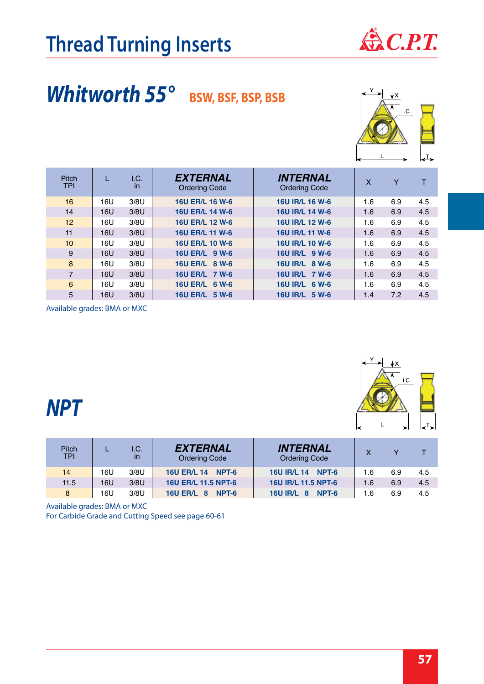

## Whitworth 55° BSW, BSF, BSP, BSB



| Pitch<br><b>TPI</b> |     | I.C.<br>$\mathsf{I}$ | <b>EXTERNAL</b><br><b>Ordering Code</b> | <b>INTERNAL</b><br><b>Ordering Code</b> | X   | Y   | т   |
|---------------------|-----|----------------------|-----------------------------------------|-----------------------------------------|-----|-----|-----|
| 16                  | 16U | 3/8U                 | 16U ER/L 16 W-6                         | 16U IR/L 16 W-6                         | 1.6 | 6.9 | 4.5 |
| 14                  | 16U | 3/8U                 | 16U ER/L 14 W-6                         | 16U IR/L 14 W-6                         | 1.6 | 6.9 | 4.5 |
| 12                  | 16U | 3/8U                 | 16U ER/L 12 W-6                         | 16U IR/L 12 W-6                         | 1.6 | 6.9 | 4.5 |
| 11                  | 16U | 3/8U                 | 16U ER/L 11 W-6                         | 16U IR/L 11 W-6                         | 1.6 | 6.9 | 4.5 |
| 10 <sup>1</sup>     | 16U | 3/8U                 | 16U ER/L 10 W-6                         | 16U IR/L 10 W-6                         | 1.6 | 6.9 | 4.5 |
| 9                   | 16U | 3/8U                 | 16U ER/L 9 W-6                          | 16U IR/L 9 W-6                          | 1.6 | 6.9 | 4.5 |
| 8                   | 16U | 3/8U                 | 16U ER/L 8 W-6                          | 16U IR/L 8 W-6                          | 1.6 | 6.9 | 4.5 |
| $\overline{7}$      | 16U | 3/8U                 | 16U ER/L 7 W-6                          | 16U IR/L 7 W-6                          | 1.6 | 6.9 | 4.5 |
| 6                   | 16U | 3/8U                 | <b>16U ER/L</b><br>6 W-6                | 16U IR/L 6 W-6                          | 1.6 | 6.9 | 4.5 |
| 5                   | 16U | 3/8U                 | <b>16U ER/L</b><br>$5 W-6$              | 16U IR/L 5 W-6                          | 1.4 | 7.2 | 4.5 |

Available grades: BMA or MXC



#### *NPT*

| Pitch<br><b>TPI</b> |     | I.C.<br>in | <b>EXTERNAL</b><br><b>Ordering Code</b> | <b>INTERNAL</b><br><b>Ordering Code</b> |     |     |     |
|---------------------|-----|------------|-----------------------------------------|-----------------------------------------|-----|-----|-----|
| 14                  | 16U | 3/8U       | <b>16U ER/L 14</b><br>NPT-6             | 16U IR/L 14 NPT-6                       | 1.6 | 6.9 | 4.5 |
| 11.5                | 16U | 3/8U       | <b>16U ER/L 11.5 NPT-6</b>              | 16U IR/L 11.5 NPT-6                     | 1.6 | 6.9 | 4.5 |
| 8                   | 16U | 3/8U       | <b>16U ER/L 8</b><br>NPT-6              | 16U IR/L 8 NPT-6                        | 1.6 | 6.9 | 4.5 |

Available grades: BMA or MXC

For Carbide Grade and Cutting Speed see page 60-61